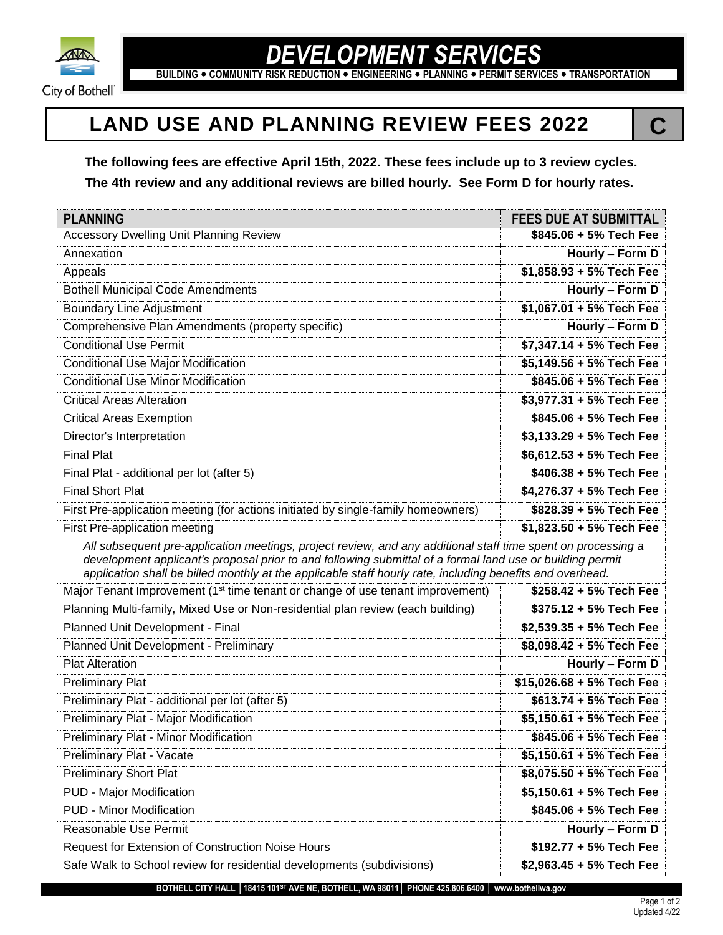

## *DEVELOPMENT SERVICES*

**BUILDING COMMUNITY RISK REDUCTION ENGINEERING PLANNING PERMIT SERVICES TRANSPORTATION**

## **LAND USE AND PLANNING REVIEW FEES 2022 C**

**The following fees are effective April 15th, 2022. These fees include up to 3 review cycles. The 4th review and any additional reviews are billed hourly. See Form D for hourly rates.**

|                                                                                                                                                                                                                                                                                                                                        | <b>FEES DUE AT SUBMITTAL</b> |
|----------------------------------------------------------------------------------------------------------------------------------------------------------------------------------------------------------------------------------------------------------------------------------------------------------------------------------------|------------------------------|
| <b>Accessory Dwelling Unit Planning Review</b>                                                                                                                                                                                                                                                                                         | \$845.06 + 5% Tech Fee       |
| Annexation                                                                                                                                                                                                                                                                                                                             | Hourly - Form D              |
| Appeals                                                                                                                                                                                                                                                                                                                                | \$1,858.93 + 5% Tech Fee     |
| <b>Bothell Municipal Code Amendments</b>                                                                                                                                                                                                                                                                                               | Hourly - Form D              |
| <b>Boundary Line Adjustment</b>                                                                                                                                                                                                                                                                                                        | $$1,067.01 + 5\%$ Tech Fee   |
| Comprehensive Plan Amendments (property specific)                                                                                                                                                                                                                                                                                      | Hourly - Form D              |
| <b>Conditional Use Permit</b>                                                                                                                                                                                                                                                                                                          | \$7,347.14 + 5% Tech Fee     |
| Conditional Use Major Modification                                                                                                                                                                                                                                                                                                     | \$5,149.56 + 5% Tech Fee     |
| <b>Conditional Use Minor Modification</b>                                                                                                                                                                                                                                                                                              | \$845.06 + 5% Tech Fee       |
| <b>Critical Areas Alteration</b>                                                                                                                                                                                                                                                                                                       | \$3,977.31 + 5% Tech Fee     |
| <b>Critical Areas Exemption</b>                                                                                                                                                                                                                                                                                                        | \$845.06 + 5% Tech Fee       |
| Director's Interpretation                                                                                                                                                                                                                                                                                                              | \$3,133.29 + 5% Tech Fee     |
| <b>Final Plat</b>                                                                                                                                                                                                                                                                                                                      | $$6,612.53 + 5%$ Tech Fee    |
| Final Plat - additional per lot (after 5)                                                                                                                                                                                                                                                                                              | $$406.38 + 5\%$ Tech Fee     |
| <b>Final Short Plat</b>                                                                                                                                                                                                                                                                                                                | \$4,276.37 + 5% Tech Fee     |
| First Pre-application meeting (for actions initiated by single-family homeowners)                                                                                                                                                                                                                                                      | \$828.39 + 5% Tech Fee       |
| First Pre-application meeting                                                                                                                                                                                                                                                                                                          | $$1,823.50 + 5\%$ Tech Fee   |
| All subsequent pre-application meetings, project review, and any additional staff time spent on processing a<br>development applicant's proposal prior to and following submittal of a formal land use or building permit<br>application shall be billed monthly at the applicable staff hourly rate, including benefits and overhead. |                              |
| Major Tenant Improvement (1 <sup>st</sup> time tenant or change of use tenant improvement)                                                                                                                                                                                                                                             |                              |
|                                                                                                                                                                                                                                                                                                                                        | \$258.42 + 5% Tech Fee       |
| Planning Multi-family, Mixed Use or Non-residential plan review (each building)                                                                                                                                                                                                                                                        | \$375.12 + 5% Tech Fee       |
| Planned Unit Development - Final                                                                                                                                                                                                                                                                                                       | \$2,539.35 + 5% Tech Fee     |
| Planned Unit Development - Preliminary                                                                                                                                                                                                                                                                                                 | \$8,098.42 + 5% Tech Fee     |
| <b>Plat Alteration</b>                                                                                                                                                                                                                                                                                                                 | Hourly - Form D              |
| <b>Preliminary Plat</b>                                                                                                                                                                                                                                                                                                                | \$15,026.68 + 5% Tech Fee    |
| Preliminary Plat - additional per lot (after 5)                                                                                                                                                                                                                                                                                        | \$613.74 + 5% Tech Fee       |
| Preliminary Plat - Major Modification                                                                                                                                                                                                                                                                                                  | \$5,150.61 + 5% Tech Fee     |
| Preliminary Plat - Minor Modification                                                                                                                                                                                                                                                                                                  | \$845.06 + 5% Tech Fee       |
| Preliminary Plat - Vacate                                                                                                                                                                                                                                                                                                              | \$5,150.61 + 5% Tech Fee     |
| <b>Preliminary Short Plat</b>                                                                                                                                                                                                                                                                                                          | \$8,075.50 + 5% Tech Fee     |
| PUD - Major Modification                                                                                                                                                                                                                                                                                                               | \$5,150.61 + 5% Tech Fee     |
| <b>PUD - Minor Modification</b>                                                                                                                                                                                                                                                                                                        | \$845.06 + 5% Tech Fee       |
| Reasonable Use Permit                                                                                                                                                                                                                                                                                                                  | Hourly - Form D              |
| <b>Request for Extension of Construction Noise Hours</b>                                                                                                                                                                                                                                                                               | \$192.77 + 5% Tech Fee       |

**BOTHELL CITY HALL │18415 101ST AVE NE, BOTHELL, WA 98011│ PHONE 425.806.6400 │ www.bothellwa.gov**